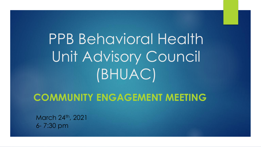PPB Behavioral Health Unit Advisory Council (BHUAC)

#### **COMMUNITY ENGAGEMENT MEETING**

March 24th, 2021 6- 7:30 pm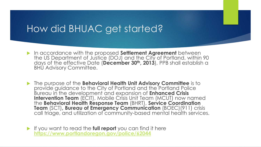## How did BHUAC get started?

- In accordance with the proposed **Settlement Agreement** between the US Department of Justice (DOJ) and the City of Portland, within 90 days of the effective Date (**December 30th, 2013**), PPB shall establish a BHU Advisory Committee.
- The purpose of the **Behavioral Health Unit Advisory Committee** is to provide guidance to the City of Portland and the Portland Police Bureau in the development and expansion of **Enhanced Crisis Intervention Team** (ECIT), Mobile Crisis Unit Team (MCUT) now named the **Behavioral Health Response Team** (BHRT), **Service Coordination Team** (SCT)**, Bureau of Emergency Communication** (BOEC)(911) crisis call triage, and utilization of community-based mental health services.
- If you want to read the **full report** you can find it here **<https://www.portlandoregon.gov/police/62044>**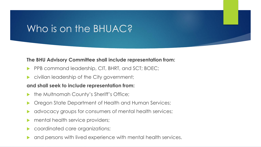# Who is on the BHUAC?

#### **The BHU Advisory Committee shall include representation from:**

- PPB command leadership, CIT, BHRT, and SCT; BOEC;
- civilian leadership of the City government;

#### **and shall seek to include representation from:**

- the Multnomah County's Sheriff's Office;
- Oregon State Department of Health and Human Services;
- advocacy groups for consumers of mental health services;
- mental health service providers;
- coordinated care organizations;
- and persons with lived experience with mental health services.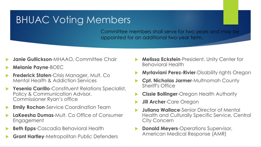# BHUAC Voting Members

Committee members shall serve for two years and may be appointed for an additional two-year term.

- **Janie Gullickson-MHAAO, Committee Chair**
- **Melanie Payne**-BOEC
- **Frederick Staten**-Crisis Manager, Mult. Co Mental Health & Addiction Services
- **Yesenia Carrillo**-Constituent Relations Specialist, Policy & Communication Advisor, Commissioner Ryan's office
- **Emily Rochon-Service Coordination Team**
- **LaKeesha Dumas**-Mult. Co Office of Consumer Engagement
- **Beth Epps**-Cascadia Behavioral Health
- **Grant Hartley**-Metropolitan Public Defenders
- **Melissa Eckstein**-President, Unity Center for Behavioral Health
- **Myrlaviani Perez-Rivier**-Disability rights Oregon
- **Cpt. Nicholas Jarmer**-Multnomah County Sheriff's Office
- **Cissie Bollinger**-Oregon Health Authority
- **Jill Archer**-Care Oregon
- **Juliana Wallace**-Senior Director of Mental Health and Culturally Specific Service, Central City Concern
- **Donald Meyers**-Operations Supervisor, American Medical Response (AMR)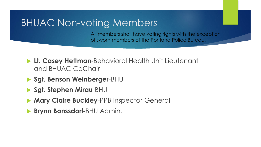# BHUAC Non-voting Members

All members shall have voting rights with the exception of sworn members of the Portland Police Bureau.

- **Lt. Casey Hettman**-Behavioral Health Unit Lieutenant and BHUAC CoChair
- **Sgt. Benson Weinberger**-BHU
- **Sgt. Stephen Mirau**-BHU
- **Mary Claire Buckley**-PPB Inspector General
- **Brynn Bonssdorf**-BHU Admin.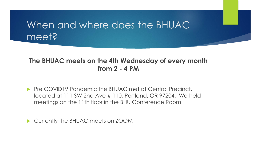# When and where does the BHUAC meet?

#### **The BHUAC meets on the 4th Wednesday of every month from 2 - 4 PM**

**Pre COVID19 Pandemic the BHUAC met at Central Precinct,** located at 111 SW 2nd Ave # 110, Portland, OR 97204. We held meetings on the 11th floor in the BHU Conference Room.

▶ Currently the BHUAC meets on ZOOM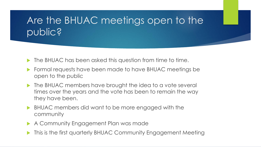# Are the BHUAC meetings open to the public?

- **The BHUAC has been asked this question from time to time.**
- Formal requests have been made to have BHUAC meetings be open to the public
- **The BHUAC members have brought the idea to a vote several** times over the years and the vote has been to remain the way they have been.
- BHUAC members did want to be more engaged with the community
- A Community Engagement Plan was made
- This is the first quarterly BHUAC Community Engagement Meeting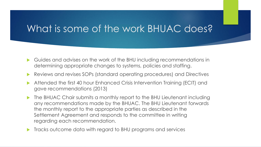## What is some of the work BHUAC does?

- Guides and advises on the work of the BHU including recommendations in determining appropriate changes to systems, policies and staffing.
- Reviews and revises SOPs (standard operating procedures) and Directives
- Attended the first 40 hour Enhanced Crisis Intervention Training (ECIT) and gave recommendations (2013)
- ▶ The BHUAC Chair submits a monthly report to the BHU Lieutenant including any recommendations made by the BHUAC. The BHU Lieutenant forwards the monthly report to the appropriate parties as described in the Settlement Agreement and responds to the committee in writing regarding each recommendation.
- **Tracks outcome data with regard to BHU programs and services**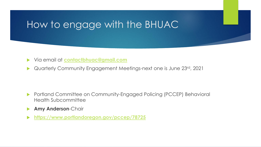# How to engage with the BHUAC

- Via email at **[contactbhuac@gmail.com](mailto:contactbhuac@gmail.com)**
- Quarterly Community Engagement Meetings-next one is June 23rd, 2021

- ▶ Portland Committee on Community-Engaged Policing (PCCEP) Behavioral Health Subcommittee
- **Amy Anderson**-Chair
- **<https://www.portlandoregon.gov/pccep/78725>**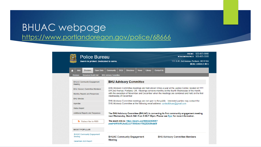#### BHUAC webpage <https://www.portlandoregon.gov/police/68666>

| <b>Police Bureau</b><br>Sworn to protect. Dedicated to serve. | NON-EMERGENCY: 503-823-3333<br>1111 S.W. 2nd Avenue, Portland, OR 97204<br><b>MORE CONTACT INFO</b>                                                                                                                                                                                                                         |
|---------------------------------------------------------------|-----------------------------------------------------------------------------------------------------------------------------------------------------------------------------------------------------------------------------------------------------------------------------------------------------------------------------|
| <b>Jobs</b><br><b>Open Data</b><br><b>Divisions</b><br>ſ۰I    | <b>Community</b><br><b>DOJ</b><br>Library<br><b>Contact Us</b><br><b>Directives</b><br><b>News</b>                                                                                                                                                                                                                          |
| <b>Behavioral Health Unit</b><br><b>Divisions</b>             | <b>BHU Advisory Committee</b>                                                                                                                                                                                                                                                                                               |
| <b>BHUAC Community Engagement</b><br>Meeting                  | <b>BHU Advisory Committee</b>                                                                                                                                                                                                                                                                                               |
| <b>BHU Advisory Committee Members</b>                         | BHU Advisory Committee meetings are held eleven times a year at the Justice Center, located at 1111                                                                                                                                                                                                                         |
| Monthly Reports and Responses                                 | SW 2nd Avenue, Portland, OR. Meetings convene monthly on the fourth Wednesday of the month,<br>with the exception of November and December when the meetings are combined and held on the first<br>Wednesday of December.<br>BHU Advisory Committee meetings are not open to the public. Interested parties may contact the |
| <b>BHU Minutes</b>                                            |                                                                                                                                                                                                                                                                                                                             |
| Agendas                                                       | BHU Advisory Committee at the following email address: contactbhuac@gmail.com                                                                                                                                                                                                                                               |
| <b>Status Report</b>                                          |                                                                                                                                                                                                                                                                                                                             |
| Additional Reports and Responses                              | The BHU Advisory Committee (BHUAC) is convening its first community engagement meeting<br>next Wednesday, March 24th from 6:00-7:30pm. Please see flyer for more information.                                                                                                                                               |
| Subscribe to RSS                                              | The zoom link is: https://zoom.us/j/99822250505?<br>pwd=bW1kWUhaSDJJY1R4SmlrYWZZOU9kdz09                                                                                                                                                                                                                                    |
| <b>MOST POPULAR</b>                                           |                                                                                                                                                                                                                                                                                                                             |
| <b>BHUAC Community Engagement</b><br>Meeting                  | <b>BHUAC Community Engagement</b><br><b>BHU Advisory Committee Members</b><br><b>Meeting</b>                                                                                                                                                                                                                                |
| December 2020 Report                                          |                                                                                                                                                                                                                                                                                                                             |